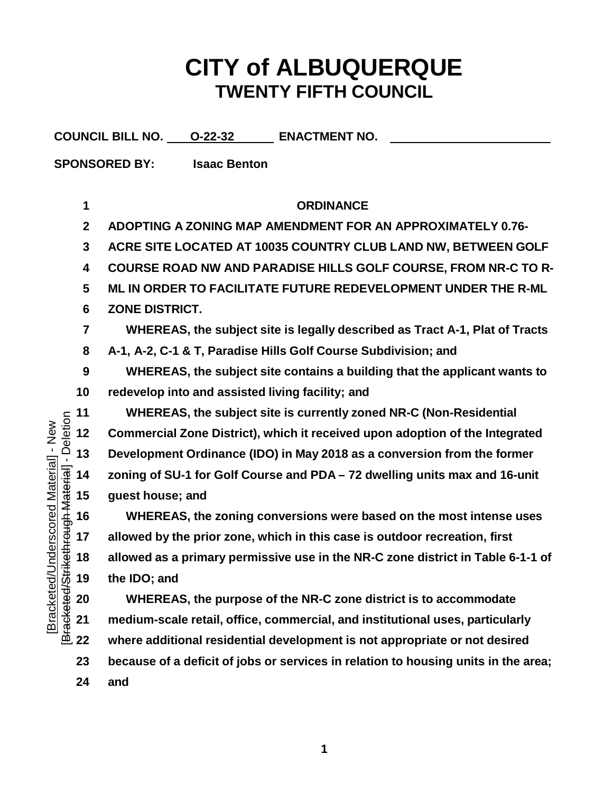## **CITY of ALBUQUERQUE TWENTY FIFTH COUNCIL**

**COUNCIL BILL NO. O-22-32 ENACTMENT NO. SPONSORED BY: Isaac Benton ORDINANCE ADOPTING A ZONING MAP AMENDMENT FOR AN APPROXIMATELY 0.76- ACRE SITE LOCATED AT 10035 COUNTRY CLUB LAND NW, BETWEEN GOLF COURSE ROAD NW AND PARADISE HILLS GOLF COURSE, FROM NR-C TO R- ML IN ORDER TO FACILITATE FUTURE REDEVELOPMENT UNDER THE R-ML ZONE DISTRICT. WHEREAS, the subject site is legally described as Tract A-1, Plat of Tracts A-1, A-2, C-1 & T, Paradise Hills Golf Course Subdivision; and WHEREAS, the subject site contains a building that the applicant wants to redevelop into and assisted living facility; and WHEREAS, the subject site is currently zoned NR-C (Non-Residential**<br> **12 Commercial Zone District), which it received upon adoption of the Integral<br>**  $\frac{1}{\sqrt{2}}$  **<b>13** Development Ordinance (IDO) in May 2018 as a c [Bracketed/Strikethrough Material] - Deletion[Bracketed/Underscored Material] - New Bracketed/Underscored Material] - New **Commercial Zone District), which it received upon adoption of the Integrated Development Ordinance (IDO) in May 2018 as a conversion from the former zoning of SU-1 for Golf Course and PDA – 72 dwelling units max and 16-unit guest house; and WHEREAS, the zoning conversions were based on the most intense uses allowed by the prior zone, which in this case is outdoor recreation, first allowed as a primary permissive use in the NR-C zone district in Table 6-1-1 of the IDO; and WHEREAS, the purpose of the NR-C zone district is to accommodate medium-scale retail, office, commercial, and institutional uses, particularly where additional residential development is not appropriate or not desired because of a deficit of jobs or services in relation to housing units in the area;**

**and**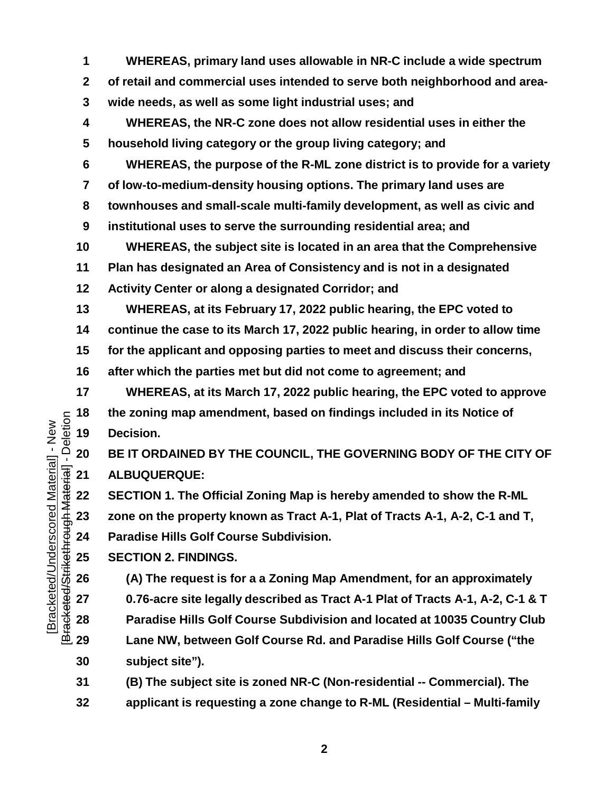**WHEREAS, primary land uses allowable in NR-C include a wide spectrum of retail and commercial uses intended to serve both neighborhood and area- wide needs, as well as some light industrial uses; and WHEREAS, the NR-C zone does not allow residential uses in either the household living category or the group living category; and WHEREAS, the purpose of the R-ML zone district is to provide for a variety of low-to-medium-density housing options. The primary land uses are townhouses and small-scale multi-family development, as well as civic and institutional uses to serve the surrounding residential area; and WHEREAS, the subject site is located in an area that the Comprehensive Plan has designated an Area of Consistency and is not in a designated Activity Center or along a designated Corridor; and WHEREAS, at its February 17, 2022 public hearing, the EPC voted to continue the case to its March 17, 2022 public hearing, in order to allow time for the applicant and opposing parties to meet and discuss their concerns, after which the parties met but did not come to agreement; and WHEREAS, at its March 17, 2022 public hearing, the EPC voted to approve** the zoning map amendment, based on findings included in its Notice of<br> **18 the** Cocision.<br> **18 ELIT ORDAINED BY THE COUNCIL, THE GOVERNING BODY OF THE CI<br>
<b>18 ALBUQUERQUE:**<br> **18 ECTION 1.** The Official Zoning **Decision. BE IT ORDAINED BY THE COUNCIL, THE GOVERNING BODY OF THE CITY OF ALBUQUERQUE: SECTION 1. The Official Zoning Map is hereby amended to show the R-ML zone on the property known as Tract A-1, Plat of Tracts A-1, A-2, C-1 and T, Paradise Hills Golf Course Subdivision. SECTION 2. FINDINGS. (A) The request is for a a Zoning Map Amendment, for an approximately**

 **0.76-acre site legally described as Tract A-1 Plat of Tracts A-1, A-2, C-1 & T Paradise Hills Golf Course Subdivision and located at 10035 Country Club Lane NW, between Golf Course Rd. and Paradise Hills Golf Course ("the subject site").**

 **(B) The subject site is zoned NR-C (Non-residential -- Commercial). The applicant is requesting a zone change to R-ML (Residential – Multi-family**

[Bracketed/Strikethrough Material] - Deletion[Bracketed/Underscored Material] - New Bracketed/Underscored Material] - New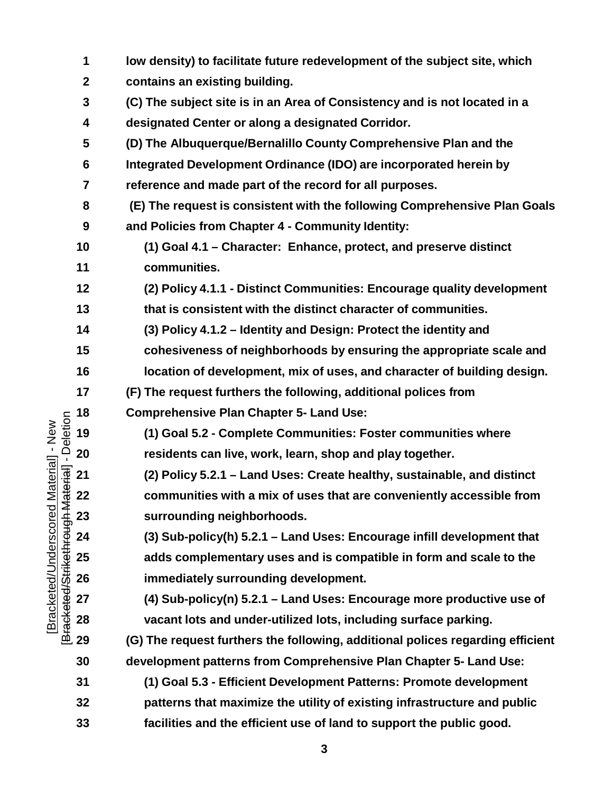|                                                    | 1                | low density) to facilitate future redevelopment of the subject site, which     |
|----------------------------------------------------|------------------|--------------------------------------------------------------------------------|
|                                                    | $\boldsymbol{2}$ | contains an existing building.                                                 |
|                                                    | $\mathbf{3}$     | (C) The subject site is in an Area of Consistency and is not located in a      |
|                                                    | 4                | designated Center or along a designated Corridor.                              |
|                                                    | 5                | (D) The Albuquerque/Bernalillo County Comprehensive Plan and the               |
|                                                    | $6\phantom{1}$   | Integrated Development Ordinance (IDO) are incorporated herein by              |
|                                                    | 7                | reference and made part of the record for all purposes.                        |
|                                                    | 8                | (E) The request is consistent with the following Comprehensive Plan Goals      |
|                                                    | 9                | and Policies from Chapter 4 - Community Identity:                              |
|                                                    | 10               | (1) Goal 4.1 – Character: Enhance, protect, and preserve distinct              |
|                                                    | 11               | communities.                                                                   |
|                                                    | 12               | (2) Policy 4.1.1 - Distinct Communities: Encourage quality development         |
|                                                    | 13               | that is consistent with the distinct character of communities.                 |
|                                                    | 14               | (3) Policy 4.1.2 - Identity and Design: Protect the identity and               |
|                                                    | 15               | cohesiveness of neighborhoods by ensuring the appropriate scale and            |
|                                                    | 16               | location of development, mix of uses, and character of building design.        |
|                                                    | 17               | (F) The request furthers the following, additional polices from                |
|                                                    | 18               | <b>Comprehensive Plan Chapter 5- Land Use:</b>                                 |
| - Deletion<br>Material] - New                      | 19               | (1) Goal 5.2 - Complete Communities: Foster communities where                  |
|                                                    | 20               | residents can live, work, learn, shop and play together.                       |
| laterial]-                                         | 21               | (2) Policy 5.2.1 - Land Uses: Create healthy, sustainable, and distinct        |
|                                                    | 22               | communities with a mix of uses that are conveniently accessible from           |
|                                                    | 23               | surrounding neighborhoods.                                                     |
|                                                    | 24               | (3) Sub-policy(h) 5.2.1 - Land Uses: Encourage infill development that         |
|                                                    | 25               | adds complementary uses and is compatible in form and scale to the             |
|                                                    | 26               | immediately surrounding development.                                           |
|                                                    | 27               | (4) Sub-policy(n) 5.2.1 - Land Uses: Encourage more productive use of          |
| Bracketed/Strikethrough M<br>Bracketed/Underscored | 28               | vacant lots and under-utilized lots, including surface parking.                |
|                                                    | 29               | (G) The request furthers the following, additional polices regarding efficient |
|                                                    | 30               | development patterns from Comprehensive Plan Chapter 5- Land Use:              |
|                                                    | 31               | (1) Goal 5.3 - Efficient Development Patterns: Promote development             |
|                                                    | 32               | patterns that maximize the utility of existing infrastructure and public       |
|                                                    | 33               | facilities and the efficient use of land to support the public good.           |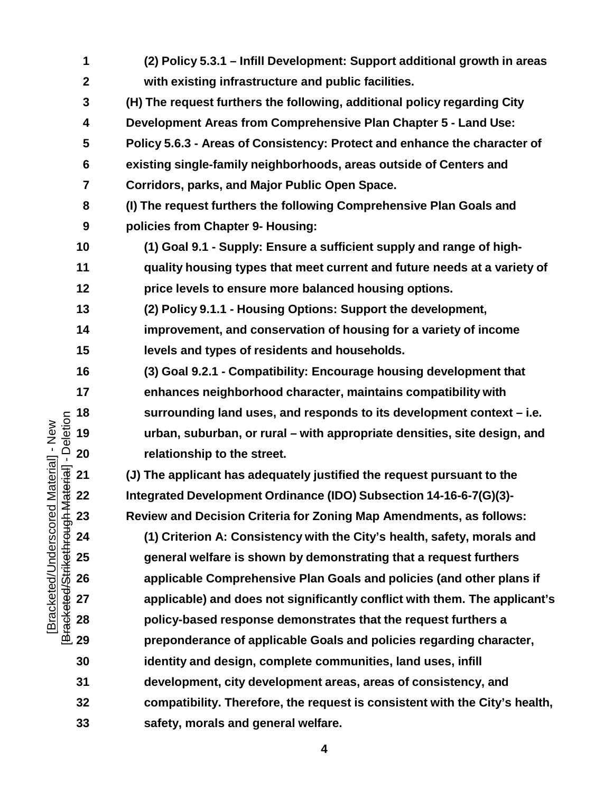| 1                 | (2) Policy 5.3.1 - Infill Development: Support additional growth in areas   |
|-------------------|-----------------------------------------------------------------------------|
| $\boldsymbol{2}$  | with existing infrastructure and public facilities.                         |
| 3                 | (H) The request furthers the following, additional policy regarding City    |
| 4                 | Development Areas from Comprehensive Plan Chapter 5 - Land Use:             |
| 5                 | Policy 5.6.3 - Areas of Consistency: Protect and enhance the character of   |
| 6                 | existing single-family neighborhoods, areas outside of Centers and          |
| 7                 | Corridors, parks, and Major Public Open Space.                              |
| 8                 | (I) The request furthers the following Comprehensive Plan Goals and         |
| 9                 | policies from Chapter 9- Housing:                                           |
| 10                | (1) Goal 9.1 - Supply: Ensure a sufficient supply and range of high-        |
| 11                | quality housing types that meet current and future needs at a variety of    |
| 12                | price levels to ensure more balanced housing options.                       |
| 13                | (2) Policy 9.1.1 - Housing Options: Support the development,                |
| 14                | improvement, and conservation of housing for a variety of income            |
| 15                | levels and types of residents and households.                               |
| 16                | (3) Goal 9.2.1 - Compatibility: Encourage housing development that          |
| 17                | enhances neighborhood character, maintains compatibility with               |
| $\frac{1}{2}$ 18  | surrounding land uses, and responds to its development context – i.e.       |
| Ū.<br>19          | urban, suburban, or rural – with appropriate densities, site design, and    |
| 20                | relationship to the street.                                                 |
| $\overline{5}$ 21 | (J) The applicant has adequately justified the request pursuant to the      |
| 5 22              | Integrated Development Ordinance (IDO) Subsection 14-16-6-7(G)(3)-          |
| 23                | Review and Decision Criteria for Zoning Map Amendments, as follows:         |
| 24                | (1) Criterion A: Consistency with the City's health, safety, morals and     |
| 25                | general welfare is shown by demonstrating that a request furthers           |
| 26                | applicable Comprehensive Plan Goals and policies (and other plans if        |
| 27                | applicable) and does not significantly conflict with them. The applicant's  |
| 28                | policy-based response demonstrates that the request furthers a              |
| ⊥ 29              | preponderance of applicable Goals and policies regarding character,         |
| 30                | identity and design, complete communities, land uses, infill                |
| 31                | development, city development areas, areas of consistency, and              |
| 32                | compatibility. Therefore, the request is consistent with the City's health, |
| 33                | safety, morals and general welfare.                                         |

[Bracketed/Underscored Material] - New<br>[Bracketed/Strikethrough Material] - Deletion [Bracketed/Strikethrough Material] - Deletion[Bracketed/Underscored Material] - New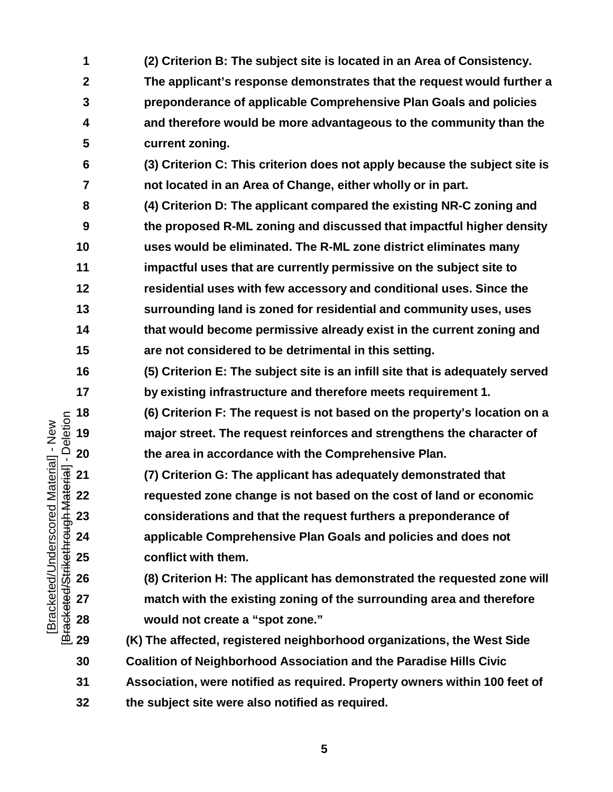**(2) Criterion B: The subject site is located in an Area of Consistency. The applicant's response demonstrates that the request would further a preponderance of applicable Comprehensive Plan Goals and policies and therefore would be more advantageous to the community than the current zoning. (3) Criterion C: This criterion does not apply because the subject site is not located in an Area of Change, either wholly or in part. (4) Criterion D: The applicant compared the existing NR-C zoning and the proposed R-ML zoning and discussed that impactful higher density uses would be eliminated. The R-ML zone district eliminates many impactful uses that are currently permissive on the subject site to residential uses with few accessory and conditional uses. Since the surrounding land is zoned for residential and community uses, uses that would become permissive already exist in the current zoning and are not considered to be detrimental in this setting. (5) Criterion E: The subject site is an infill site that is adequately served by existing infrastructure and therefore meets requirement 1. (6) Criterion F: The request is not based on the property's location on a major street. The request reinforces and strengthens the character of the area in accordance with the Comprehensive Plan. (7) Criterion G: The applicant has adequately demonstrated that requested zone change is not based on the cost of land or economic considerations and that the request furthers a preponderance of applicable Comprehensive Plan Goals and policies and does not conflict with them. (8) Criterion H: The applicant has demonstrated the requested zone will match with the existing zoning of the surrounding area and therefore would not create a "spot zone." (K) The affected, registered neighborhood organizations, the West Side Coalition of Neighborhood Association and the Paradise Hills Civic Association, were notified as required. Property owners within 100 feet of the subject site were also notified as required.**

[Bracketed/Strikethrough Material] - Deletion[Bracketed/Underscored Material] - New Bracketed/Underscored Material] - New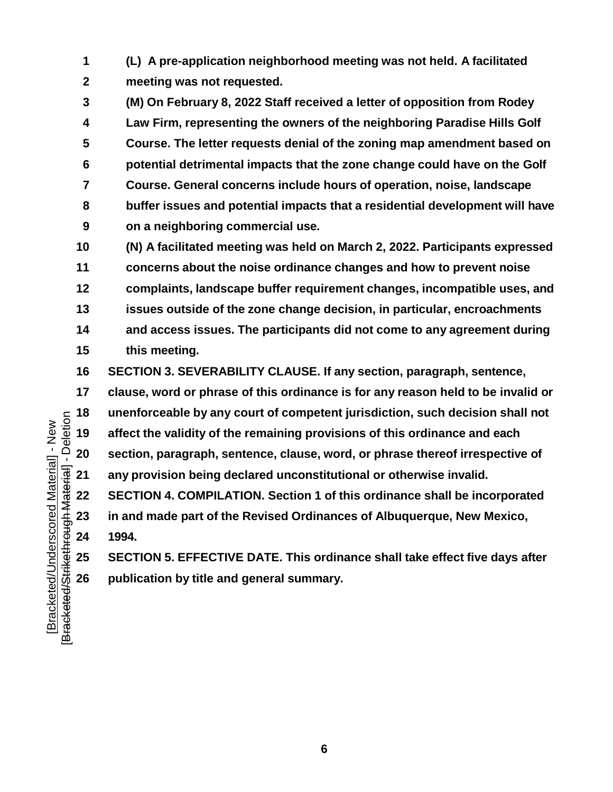**(L) A pre-application neighborhood meeting was not held. A facilitated meeting was not requested.**

 **(M) On February 8, 2022 Staff received a letter of opposition from Rodey Law Firm, representing the owners of the neighboring Paradise Hills Golf Course. The letter requests denial of the zoning map amendment based on potential detrimental impacts that the zone change could have on the Golf Course. General concerns include hours of operation, noise, landscape buffer issues and potential impacts that a residential development will have on a neighboring commercial use.**

 **(N) A facilitated meeting was held on March 2, 2022. Participants expressed concerns about the noise ordinance changes and how to prevent noise complaints, landscape buffer requirement changes, incompatible uses, and issues outside of the zone change decision, in particular, encroachments and access issues. The participants did not come to any agreement during this meeting.**

**SECTION 3. SEVERABILITY CLAUSE. If any section, paragraph, sentence,**

 **clause, word or phrase of this ordinance is for any reason held to be invalid or** unenforceable by any court of competent jurisdiction, such decision shall not<br> **18 any article** the validity of the remaining provisions of this ordinance and each<br> **20 action, paragraph, sentence, clause, word, affect the validity of the remaining provisions of this ordinance and each section, paragraph, sentence, clause, word, or phrase thereof irrespective of any provision being declared unconstitutional or otherwise invalid. SECTION 4. COMPILATION. Section 1 of this ordinance shall be incorporated in and made part of the Revised Ordinances of Albuquerque, New Mexico,** 

**1994.**

 **SECTION 5. EFFECTIVE DATE. This ordinance shall take effect five days after publication by title and general summary.**

[Bracketed/Strikethrough Material] - Deletion[Bracketed/Underscored Material] - New Bracketed/Underscored Material] - New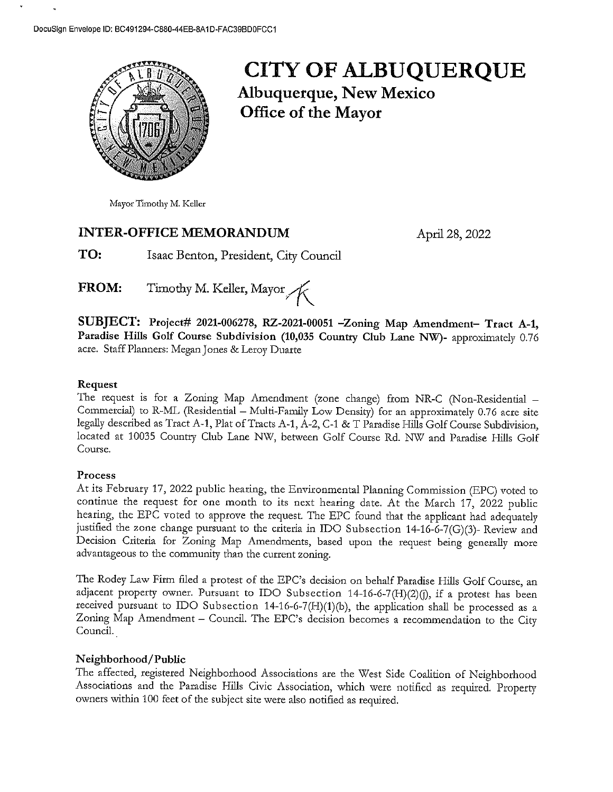

# **CITY OF ALBUQUERQUE**

**Albuquerque, New Mexico** Office of the Mayor

Mayor Timothy M. Keller

#### **INTER-OFFICE MEMORANDUM**

April 28, 2022

TO: Isaac Benton, President, City Council

Timothy M. Keller, Mayor FROM:

SUBJECT: Project# 2021-006278, RZ-2021-00051 -Zoning Map Amendment- Tract A-1, Paradise Hills Golf Course Subdivision (10,035 Country Club Lane NW)- approximately 0.76 acre. Staff Planners: Megan Jones & Leroy Duarte

#### Request

The request is for a Zoning Map Amendment (zone change) from NR-C (Non-Residential -Commercial) to R-ML (Residential - Multi-Family Low Density) for an approximately 0.76 acre site legally described as Tract A-1, Plat of Tracts A-1, A-2, C-1 & T Paradise Hills Golf Course Subdivision, located at 10035 Country Club Lane NW, between Golf Course Rd. NW and Paradise Hills Golf Course.

#### Process

At its February 17, 2022 public hearing, the Environmental Planning Commission (EPC) voted to continue the request for one month to its next hearing date. At the March 17, 2022 public hearing, the EPC voted to approve the request. The EPC found that the applicant had adequately justified the zone change pursuant to the criteria in IDO Subsection 14-16-6-7(G)(3)- Review and Decision Criteria for Zoning Map Amendments, based upon the request being generally more advantageous to the community than the current zoning.

The Rodey Law Firm filed a protest of the EPC's decision on behalf Paradise Hills Golf Course, an adjacent property owner. Pursuant to IDO Subsection 14-16-6-7(H)(2)(j), if a protest has been received pursuant to IDO Subsection 14-16-6-7(H)(1)(b), the application shall be processed as a Zoning Map Amendment - Council. The EPC's decision becomes a recommendation to the City Council.

#### Neighborhood/Public

The affected, registered Neighborhood Associations are the West Side Coalition of Neighborhood Associations and the Paradise Hills Civic Association, which were notified as required. Property owners within 100 feet of the subject site were also notified as required.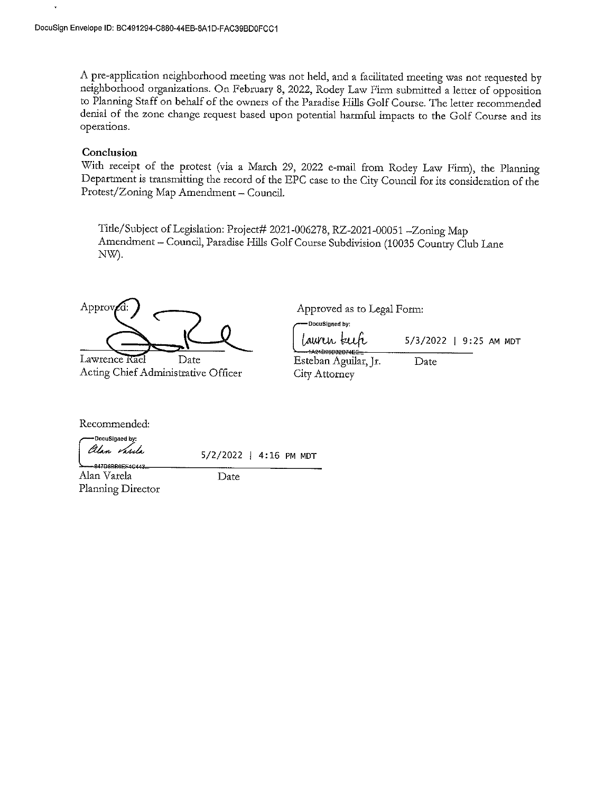A pre-application neighborhood meeting was not held, and a facilitated meeting was not requested by neighborhood organizations. On February 8, 2022, Rodey Law Firm submitted a letter of opposition to Planning Staff on behalf of the owners of the Paradise Hills Golf Course. The letter recommended denial of the zone change request based upon potential harmful impacts to the Golf Course and its operations.

#### Conclusion

 $\ddot{\phantom{0}}$ 

With receipt of the protest (via a March 29, 2022 e-mail from Rodey Law Firm), the Planning Department is transmitting the record of the EPC case to the City Council for its consideration of the Protest/Zoning Map Amendment - Council.

Title/Subject of Legislation: Project# 2021-006278, RZ-2021-00051-Zoning Map Amendment - Council, Paradise Hills Golf Course Subdivision (10035 Country Club Lane NW).

Approv

Lawrence Rael Date Acting Chief Administrative Officer

Approved as to Legal Form:

DocuSigned by: Lauren kee 5/3/2022 | 9:25 AM MDT Esteban Aguilar, Jr. Date City Attorney

Recommended:

DocuSigned by: Alan *Var*ıla

5/2/2022 | 4:16 PM MDT

047DRRRGCC444 Alan Varela Planning Director

Date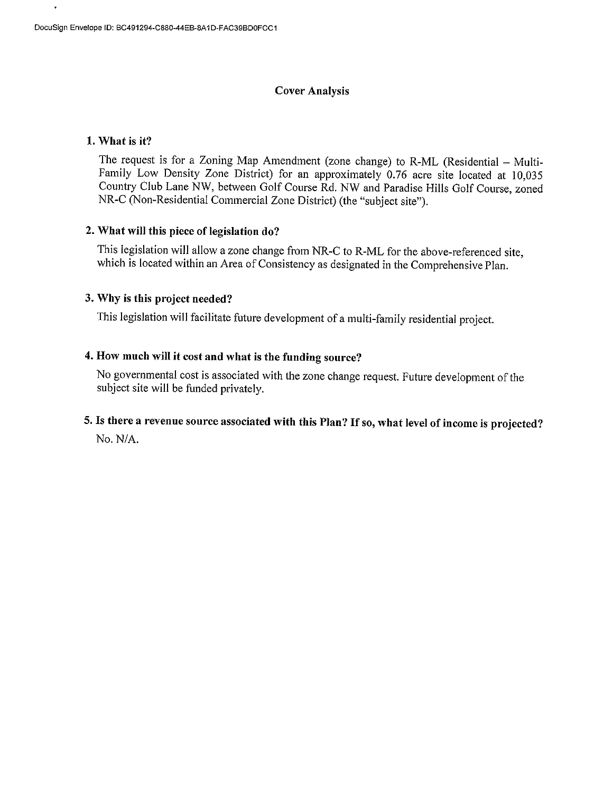#### **Cover Analysis**

#### 1. What is it?

The request is for a Zoning Map Amendment (zone change) to R-ML (Residential – Multi-Family Low Density Zone District) for an approximately 0.76 acre site located at 10,035 Country Club Lane NW, between Golf Course Rd. NW and Paradise Hills Golf Course, zoned NR-C (Non-Residential Commercial Zone District) (the "subject site").

#### 2. What will this piece of legislation do?

This legislation will allow a zone change from NR-C to R-ML for the above-referenced site, which is located within an Area of Consistency as designated in the Comprehensive Plan.

#### 3. Why is this project needed?

This legislation will facilitate future development of a multi-family residential project.

#### 4. How much will it cost and what is the funding source?

No governmental cost is associated with the zone change request. Future development of the subject site will be funded privately.

### 5. Is there a revenue source associated with this Plan? If so, what level of income is projected?

No. N/A.